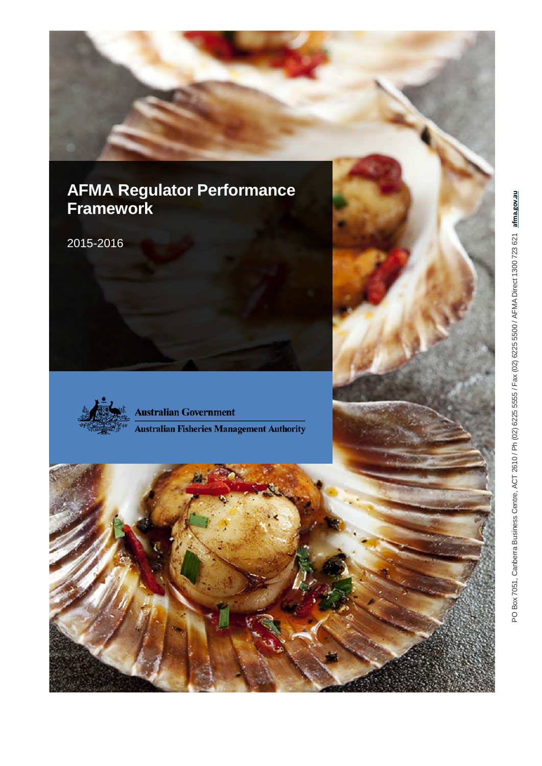## <span id="page-0-1"></span><span id="page-0-0"></span>**AFMA Regulator Performance Framework**

2015 -2016



**Australian Government Australian Fisheries Management Authority** 

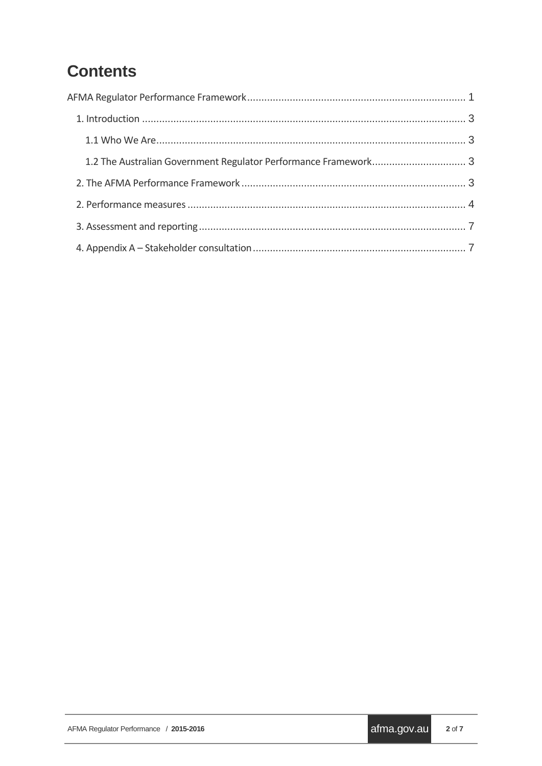# **Contents**

| 1.2 The Australian Government Regulator Performance Framework 3 |  |  |  |  |  |
|-----------------------------------------------------------------|--|--|--|--|--|
|                                                                 |  |  |  |  |  |
|                                                                 |  |  |  |  |  |
|                                                                 |  |  |  |  |  |
|                                                                 |  |  |  |  |  |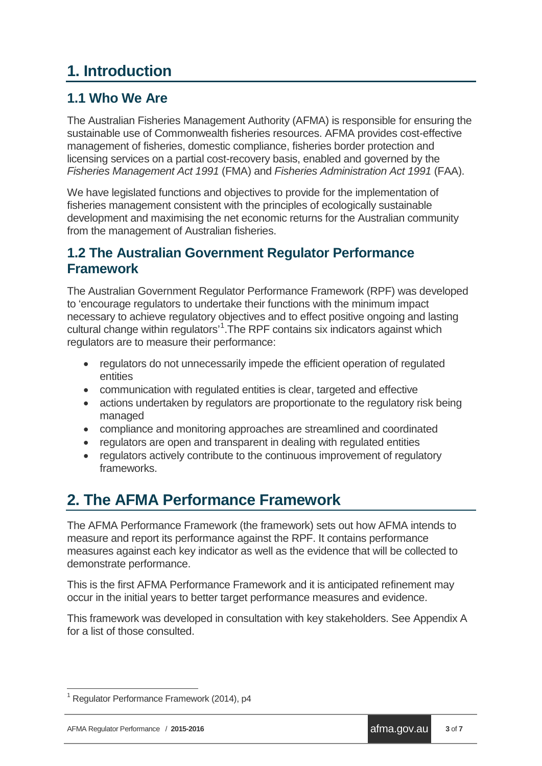## <span id="page-2-0"></span>**1. Introduction**

### <span id="page-2-1"></span>**1.1 Who We Are**

The Australian Fisheries Management Authority (AFMA) is responsible for ensuring the sustainable use of Commonwealth fisheries resources. AFMA provides cost-effective management of fisheries, domestic compliance, fisheries border protection and licensing services on a partial cost-recovery basis, enabled and governed by the *Fisheries Management Act 1991* (FMA) and *Fisheries Administration Act 1991* (FAA).

We have legislated functions and objectives to provide for the implementation of fisheries management consistent with the principles of ecologically sustainable development and maximising the net economic returns for the Australian community from the management of Australian fisheries.

#### <span id="page-2-2"></span>**1.2 The Australian Government Regulator Performance Framework**

The Australian Government Regulator Performance Framework (RPF) was developed to 'encourage regulators to undertake their functions with the minimum impact necessary to achieve regulatory objectives and to effect positive ongoing and lasting cultural change within regulators'<sup>[1](#page-2-4)</sup>. The RPF contains six indicators against which regulators are to measure their performance:

- regulators do not unnecessarily impede the efficient operation of regulated entities
- communication with regulated entities is clear, targeted and effective
- actions undertaken by regulators are proportionate to the regulatory risk being managed
- compliance and monitoring approaches are streamlined and coordinated
- regulators are open and transparent in dealing with regulated entities
- regulators actively contribute to the continuous improvement of regulatory frameworks.

### <span id="page-2-3"></span>**2. The AFMA Performance Framework**

The AFMA Performance Framework (the framework) sets out how AFMA intends to measure and report its performance against the RPF. It contains performance measures against each key indicator as well as the evidence that will be collected to demonstrate performance.

This is the first AFMA Performance Framework and it is anticipated refinement may occur in the initial years to better target performance measures and evidence.

This framework was developed in consultation with key stakeholders. See Appendix A for a list of those consulted.

<span id="page-2-4"></span><sup>&</sup>lt;sup>1</sup> Regulator Performance Framework (2014), p4  $\overline{\phantom{a}}$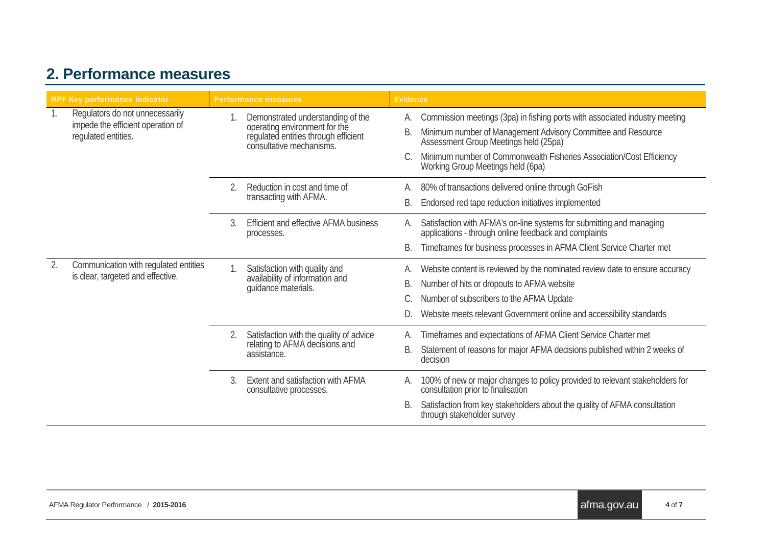### **2. Performance measures**

<span id="page-3-0"></span>

| <b>RPF Key performance indicator</b> |                                                                                             | <b>Performance measures</b> |                                                                                                                                        | <b>Evidence</b> |                                                                                                                                                                                                                                                                                                   |
|--------------------------------------|---------------------------------------------------------------------------------------------|-----------------------------|----------------------------------------------------------------------------------------------------------------------------------------|-----------------|---------------------------------------------------------------------------------------------------------------------------------------------------------------------------------------------------------------------------------------------------------------------------------------------------|
| 1.                                   | Regulators do not unnecessarily<br>impede the efficient operation of<br>regulated entities. |                             | Demonstrated understanding of the<br>operating environment for the<br>regulated entities through efficient<br>consultative mechanisms. | А.<br>В.        | Commission meetings (3pa) in fishing ports with associated industry meeting<br>Minimum number of Management Advisory Committee and Resource<br>Assessment Group Meetings held (25pa)<br>Minimum number of Commonwealth Fisheries Association/Cost Efficiency<br>Working Group Meetings held (6pa) |
|                                      |                                                                                             | 2.                          | Reduction in cost and time of<br>transacting with AFMA.                                                                                | А.<br>В.        | 80% of transactions delivered online through GoFish<br>Endorsed red tape reduction initiatives implemented                                                                                                                                                                                        |
|                                      |                                                                                             | 3.                          | Efficient and effective AFMA business<br>processes.                                                                                    | А.              | Satisfaction with AFMA's on-line systems for submitting and managing applications - through online feedback and complaints<br>Timeframes for business processes in AFMA Client Service Charter met                                                                                                |
| 2.                                   | Communication with regulated entities<br>is clear, targeted and effective.                  |                             | Satisfaction with quality and<br>availability of information and<br>quidance materials.                                                | А.<br>В.        | Website content is reviewed by the nominated review date to ensure accuracy<br>Number of hits or dropouts to AFMA website<br>Number of subscribers to the AFMA Update<br>Website meets relevant Government online and accessibility standards                                                     |
|                                      |                                                                                             | 2.                          | Satisfaction with the quality of advice<br>relating to AFMA decisions and<br>assistance.                                               | А.<br>В.        | Timeframes and expectations of AFMA Client Service Charter met<br>Statement of reasons for major AFMA decisions published within 2 weeks of<br>decision                                                                                                                                           |
|                                      |                                                                                             | $\mathcal{E}$               | Extent and satisfaction with AFMA<br>consultative processes.                                                                           | А.<br>B.        | 100% of new or major changes to policy provided to relevant stakeholders for consultation prior to finalisation<br>Satisfaction from key stakeholders about the quality of AFMA consultation<br>through stakeholder survey                                                                        |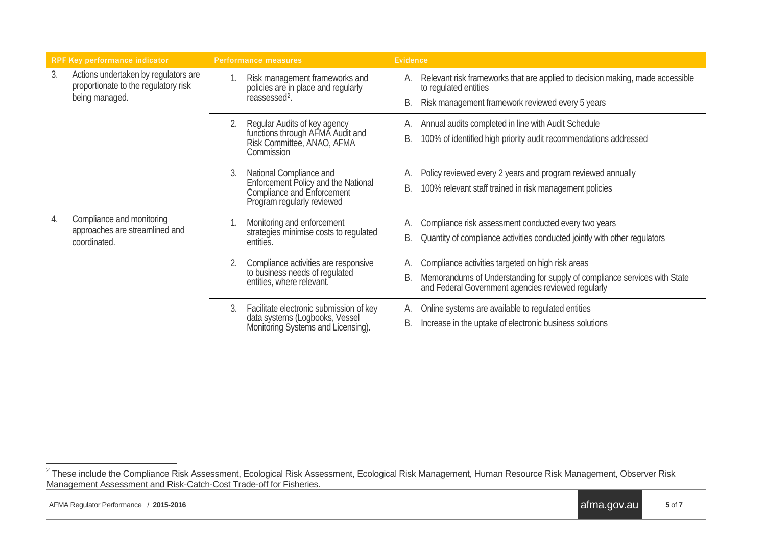<span id="page-4-0"></span>

| <b>RPF Key performance indicator</b> |                                                                                                | <b>Performance measures</b> |                                                                                                                                   | <b>Evidence</b> |                                                                                                                                                                                      |  |
|--------------------------------------|------------------------------------------------------------------------------------------------|-----------------------------|-----------------------------------------------------------------------------------------------------------------------------------|-----------------|--------------------------------------------------------------------------------------------------------------------------------------------------------------------------------------|--|
| 3.                                   | Actions undertaken by regulators are<br>proportionate to the regulatory risk<br>being managed. |                             | Risk management frameworks and<br>policies are in place and regularly<br>reassessed <sup>2</sup> .                                | А.<br>В.        | Relevant risk frameworks that are applied to decision making, made accessible<br>to regulated entities<br>Risk management framework reviewed every 5 years                           |  |
|                                      |                                                                                                | 2.                          | Regular Audits of key agency<br>functions through AFMA Audit and<br>Risk Committee, ANAO, AFMA<br>Commission                      | А.<br>В.        | Annual audits completed in line with Audit Schedule<br>100% of identified high priority audit recommendations addressed                                                              |  |
|                                      |                                                                                                | 3.                          | National Compliance and<br>Enforcement Policy and the National<br><b>Compliance and Enforcement</b><br>Program regularly reviewed | А.<br>В.        | Policy reviewed every 2 years and program reviewed annually<br>100% relevant staff trained in risk management policies                                                               |  |
| 4.                                   | Compliance and monitoring<br>approaches are streamlined and<br>coordinated.                    |                             | Monitoring and enforcement<br>strategies minimise costs to regulated<br>entities.                                                 | А.<br>В.        | Compliance risk assessment conducted every two years<br>Quantity of compliance activities conducted jointly with other regulators                                                    |  |
|                                      |                                                                                                | 2.                          | Compliance activities are responsive<br>to business needs of regulated<br>entities, where relevant.                               | А.<br>В.        | Compliance activities targeted on high risk areas<br>Memorandums of Understanding for supply of compliance services with State<br>and Federal Government agencies reviewed regularly |  |
|                                      |                                                                                                | 3.                          | Facilitate electronic submission of key<br>data systems (Logbooks, Vessel<br>Monitoring Systems and Licensing).                   | А.<br>В.        | Online systems are available to regulated entities<br>Increase in the uptake of electronic business solutions                                                                        |  |

 $^2$  These include the Compliance Risk Assessment, Ecological Risk Assessment, Ecological Risk Management, Human Resource Risk Management, Observer Risk Management Assessment and Risk-Catch-Cost Trade-off for Fisheries.  $\overline{a}$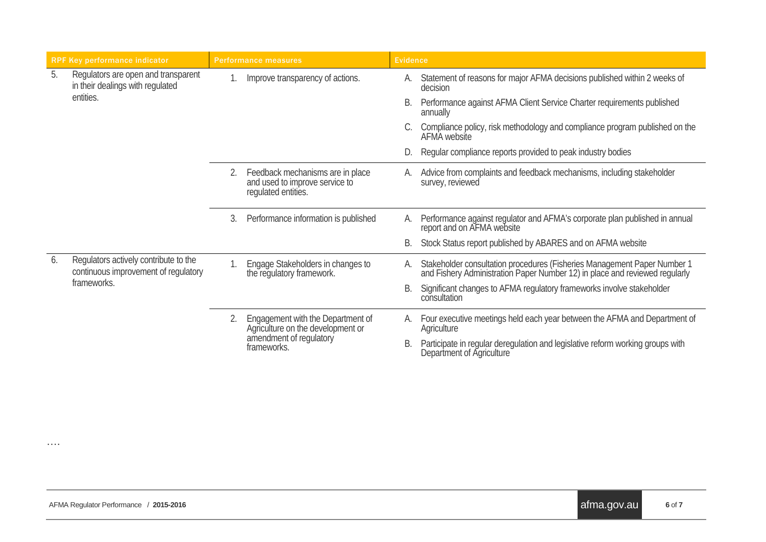| <b>RPF Key performance indicator</b> |                                                                                              | <b>Performance measures</b> |                                                                                                                  | <b>Evidence</b> |                                                                                                                                                         |
|--------------------------------------|----------------------------------------------------------------------------------------------|-----------------------------|------------------------------------------------------------------------------------------------------------------|-----------------|---------------------------------------------------------------------------------------------------------------------------------------------------------|
| 5.                                   | Regulators are open and transparent<br>in their dealings with regulated<br>entities.         |                             | Improve transparency of actions.                                                                                 | А.              | Statement of reasons for major AFMA decisions published within 2 weeks of<br>decision                                                                   |
|                                      |                                                                                              |                             |                                                                                                                  | В.              | Performance against AFMA Client Service Charter requirements published<br>annually                                                                      |
|                                      |                                                                                              |                             |                                                                                                                  |                 | Compliance policy, risk methodology and compliance program published on the<br>AFMA website                                                             |
|                                      |                                                                                              |                             |                                                                                                                  |                 | Regular compliance reports provided to peak industry bodies                                                                                             |
|                                      |                                                                                              | 2.                          | Feedback mechanisms are in place<br>and used to improve service to<br>requlated entities.                        | А.              | Advice from complaints and feedback mechanisms, including stakeholder<br>survey, reviewed                                                               |
|                                      |                                                                                              | 3.                          | Performance information is published                                                                             | А.              | Performance against regulator and AFMA's corporate plan published in annual<br>report and on AFMA website                                               |
|                                      |                                                                                              |                             |                                                                                                                  | В.              | Stock Status report published by ABARES and on AFMA website                                                                                             |
| 6.                                   | Regulators actively contribute to the<br>continuous improvement of regulatory<br>frameworks. |                             | Engage Stakeholders in changes to<br>the regulatory framework.                                                   | А.              | Stakeholder consultation procedures (Fisheries Management Paper Number 1<br>and Fishery Administration Paper Number 12) in place and reviewed regularly |
|                                      |                                                                                              |                             |                                                                                                                  | В.              | Significant changes to AFMA regulatory frameworks involve stakeholder<br>consultation                                                                   |
|                                      |                                                                                              | 2.                          | Engagement with the Department of<br>Agriculture on the development or<br>amendment of regulatory<br>frameworks. | А.              | Four executive meetings held each year between the AFMA and Department of<br>Agriculture                                                                |
|                                      |                                                                                              |                             |                                                                                                                  |                 | Participate in regular deregulation and legislative reform working groups with<br>Department of Agriculture                                             |